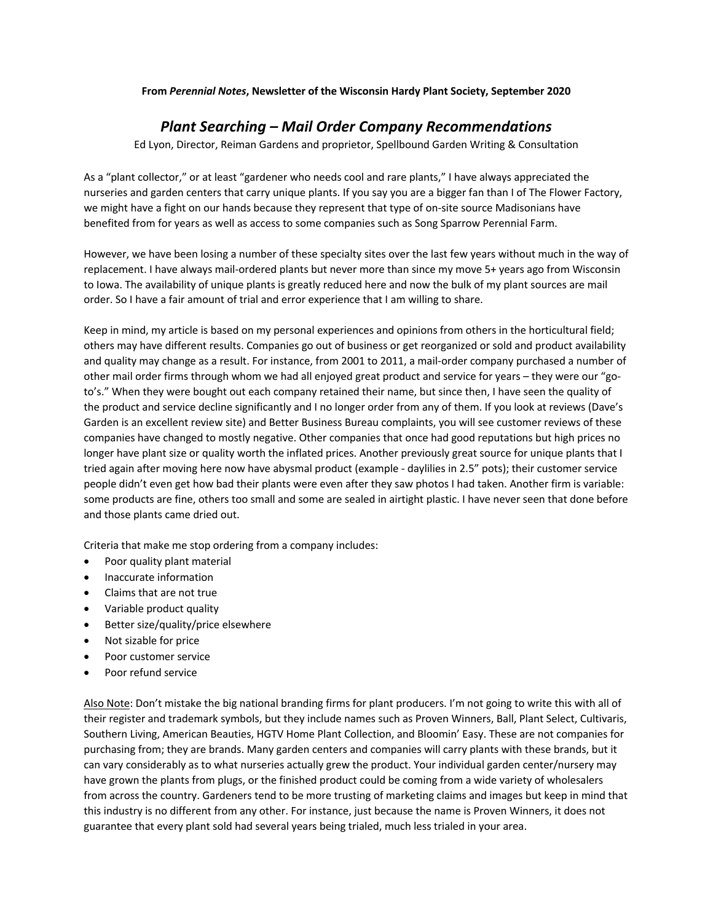#### **From** *Perennial Notes***, Newsletter of the Wisconsin Hardy Plant Society, September 2020**

# *Plant Searching – Mail Order Company Recommendations*

Ed Lyon, Director, Reiman Gardens and proprietor, Spellbound Garden Writing & Consultation

As a "plant collector," or at least "gardener who needs cool and rare plants," I have always appreciated the nurseries and garden centers that carry unique plants. If you say you are a bigger fan than I of The Flower Factory, we might have a fight on our hands because they represent that type of on-site source Madisonians have benefited from for years as well as access to some companies such as Song Sparrow Perennial Farm.

However, we have been losing a number of these specialty sites over the last few years without much in the way of replacement. I have always mail-ordered plants but never more than since my move 5+ years ago from Wisconsin to Iowa. The availability of unique plants is greatly reduced here and now the bulk of my plant sources are mail order. So I have a fair amount of trial and error experience that I am willing to share.

Keep in mind, my article is based on my personal experiences and opinions from others in the horticultural field; others may have different results. Companies go out of business or get reorganized or sold and product availability and quality may change as a result. For instance, from 2001 to 2011, a mail-order company purchased a number of other mail order firms through whom we had all enjoyed great product and service for years – they were our "goto's." When they were bought out each company retained their name, but since then, I have seen the quality of the product and service decline significantly and I no longer order from any of them. If you look at reviews (Dave's Garden is an excellent review site) and Better Business Bureau complaints, you will see customer reviews of these companies have changed to mostly negative. Other companies that once had good reputations but high prices no longer have plant size or quality worth the inflated prices. Another previously great source for unique plants that I tried again after moving here now have abysmal product (example - daylilies in 2.5" pots); their customer service people didn't even get how bad their plants were even after they saw photos I had taken. Another firm is variable: some products are fine, others too small and some are sealed in airtight plastic. I have never seen that done before and those plants came dried out.

Criteria that make me stop ordering from a company includes:

- Poor quality plant material
- Inaccurate information
- Claims that are not true
- Variable product quality
- Better size/quality/price elsewhere
- Not sizable for price
- Poor customer service
- Poor refund service

Also Note: Don't mistake the big national branding firms for plant producers. I'm not going to write this with all of their register and trademark symbols, but they include names such as Proven Winners, Ball, Plant Select, Cultivaris, Southern Living, American Beauties, HGTV Home Plant Collection, and Bloomin' Easy. These are not companies for purchasing from; they are brands. Many garden centers and companies will carry plants with these brands, but it can vary considerably as to what nurseries actually grew the product. Your individual garden center/nursery may have grown the plants from plugs, or the finished product could be coming from a wide variety of wholesalers from across the country. Gardeners tend to be more trusting of marketing claims and images but keep in mind that this industry is no different from any other. For instance, just because the name is Proven Winners, it does not guarantee that every plant sold had several years being trialed, much less trialed in your area.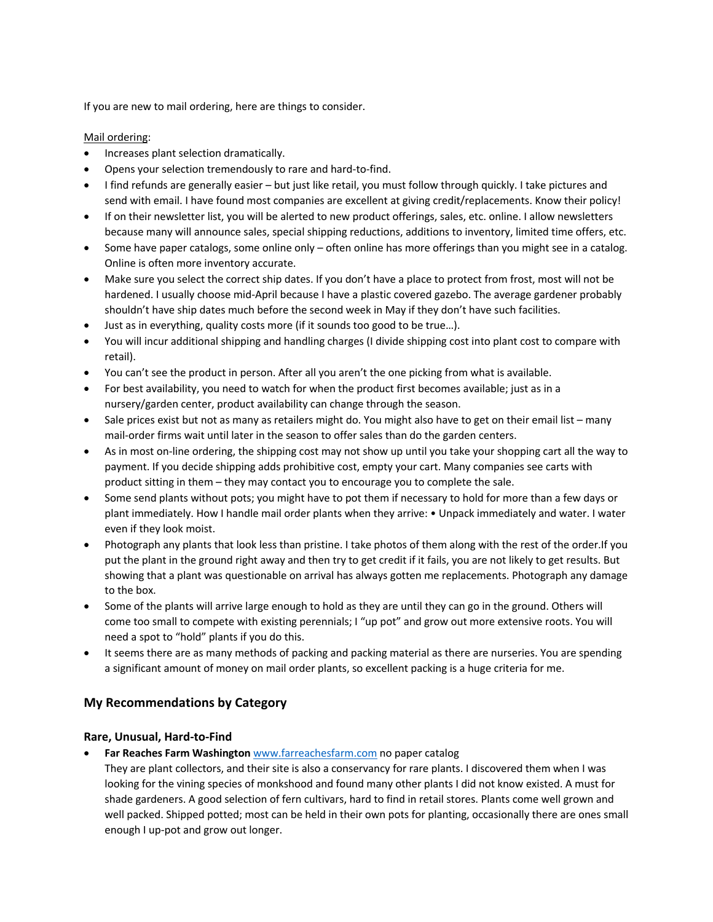If you are new to mail ordering, here are things to consider.

### Mail ordering:

- Increases plant selection dramatically.
- Opens your selection tremendously to rare and hard-to-find.
- I find refunds are generally easier but just like retail, you must follow through quickly. I take pictures and send with email. I have found most companies are excellent at giving credit/replacements. Know their policy!
- If on their newsletter list, you will be alerted to new product offerings, sales, etc. online. I allow newsletters because many will announce sales, special shipping reductions, additions to inventory, limited time offers, etc.
- Some have paper catalogs, some online only often online has more offerings than you might see in a catalog. Online is often more inventory accurate.
- Make sure you select the correct ship dates. If you don't have a place to protect from frost, most will not be hardened. I usually choose mid-April because I have a plastic covered gazebo. The average gardener probably shouldn't have ship dates much before the second week in May if they don't have such facilities.
- Just as in everything, quality costs more (if it sounds too good to be true…).
- You will incur additional shipping and handling charges (I divide shipping cost into plant cost to compare with retail).
- You can't see the product in person. After all you aren't the one picking from what is available.
- For best availability, you need to watch for when the product first becomes available; just as in a nursery/garden center, product availability can change through the season.
- Sale prices exist but not as many as retailers might do. You might also have to get on their email list many mail-order firms wait until later in the season to offer sales than do the garden centers.
- As in most on-line ordering, the shipping cost may not show up until you take your shopping cart all the way to payment. If you decide shipping adds prohibitive cost, empty your cart. Many companies see carts with product sitting in them – they may contact you to encourage you to complete the sale.
- Some send plants without pots; you might have to pot them if necessary to hold for more than a few days or plant immediately. How I handle mail order plants when they arrive: • Unpack immediately and water. I water even if they look moist.
- Photograph any plants that look less than pristine. I take photos of them along with the rest of the order.If you put the plant in the ground right away and then try to get credit if it fails, you are not likely to get results. But showing that a plant was questionable on arrival has always gotten me replacements. Photograph any damage to the box.
- Some of the plants will arrive large enough to hold as they are until they can go in the ground. Others will come too small to compete with existing perennials; I "up pot" and grow out more extensive roots. You will need a spot to "hold" plants if you do this.
- It seems there are as many methods of packing and packing material as there are nurseries. You are spending a significant amount of money on mail order plants, so excellent packing is a huge criteria for me.

# **My Recommendations by Category**

## **Rare, Unusual, Hard-to-Find**

• **Far Reaches Farm Washington** www.farreachesfarm.com no paper catalog

They are plant collectors, and their site is also a conservancy for rare plants. I discovered them when I was looking for the vining species of monkshood and found many other plants I did not know existed. A must for shade gardeners. A good selection of fern cultivars, hard to find in retail stores. Plants come well grown and well packed. Shipped potted; most can be held in their own pots for planting, occasionally there are ones small enough I up-pot and grow out longer.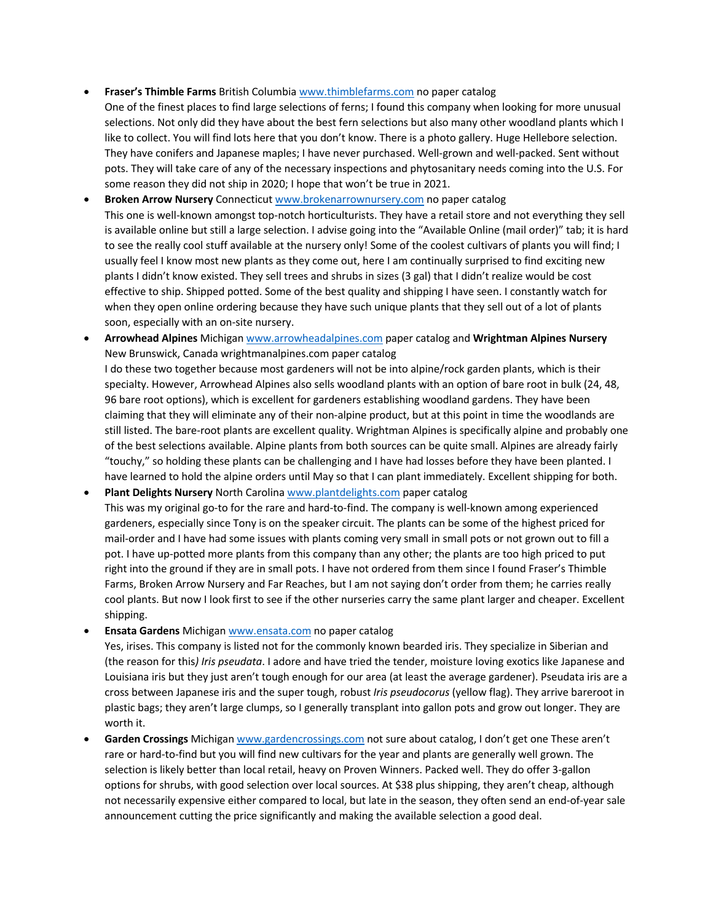#### • **Fraser's Thimble Farms** British Columbia www.thimblefarms.com no paper catalog

One of the finest places to find large selections of ferns; I found this company when looking for more unusual selections. Not only did they have about the best fern selections but also many other woodland plants which I like to collect. You will find lots here that you don't know. There is a photo gallery. Huge Hellebore selection. They have conifers and Japanese maples; I have never purchased. Well-grown and well-packed. Sent without pots. They will take care of any of the necessary inspections and phytosanitary needs coming into the U.S. For some reason they did not ship in 2020; I hope that won't be true in 2021.

• **Broken Arrow Nursery** Connecticut www.brokenarrownursery.com no paper catalog This one is well-known amongst top-notch horticulturists. They have a retail store and not everything they sell is available online but still a large selection. I advise going into the "Available Online (mail order)" tab; it is hard to see the really cool stuff available at the nursery only! Some of the coolest cultivars of plants you will find; I usually feel I know most new plants as they come out, here I am continually surprised to find exciting new plants I didn't know existed. They sell trees and shrubs in sizes (3 gal) that I didn't realize would be cost effective to ship. Shipped potted. Some of the best quality and shipping I have seen. I constantly watch for when they open online ordering because they have such unique plants that they sell out of a lot of plants soon, especially with an on-site nursery.

- **Arrowhead Alpines** Michigan www.arrowheadalpines.com paper catalog and **Wrightman Alpines Nursery** New Brunswick, Canada wrightmanalpines.com paper catalog I do these two together because most gardeners will not be into alpine/rock garden plants, which is their specialty. However, Arrowhead Alpines also sells woodland plants with an option of bare root in bulk (24, 48, 96 bare root options), which is excellent for gardeners establishing woodland gardens. They have been claiming that they will eliminate any of their non-alpine product, but at this point in time the woodlands are still listed. The bare-root plants are excellent quality. Wrightman Alpines is specifically alpine and probably one of the best selections available. Alpine plants from both sources can be quite small. Alpines are already fairly "touchy," so holding these plants can be challenging and I have had losses before they have been planted. I have learned to hold the alpine orders until May so that I can plant immediately. Excellent shipping for both.
- **Plant Delights Nursery** North Carolina www.plantdelights.com paper catalog This was my original go-to for the rare and hard-to-find. The company is well-known among experienced gardeners, especially since Tony is on the speaker circuit. The plants can be some of the highest priced for mail-order and I have had some issues with plants coming very small in small pots or not grown out to fill a pot. I have up-potted more plants from this company than any other; the plants are too high priced to put right into the ground if they are in small pots. I have not ordered from them since I found Fraser's Thimble Farms, Broken Arrow Nursery and Far Reaches, but I am not saying don't order from them; he carries really cool plants. But now I look first to see if the other nurseries carry the same plant larger and cheaper. Excellent shipping.
- **Ensata Gardens** Michigan www.ensata.com no paper catalog

Yes, irises. This company is listed not for the commonly known bearded iris. They specialize in Siberian and (the reason for this*) Iris pseudata*. I adore and have tried the tender, moisture loving exotics like Japanese and Louisiana iris but they just aren't tough enough for our area (at least the average gardener). Pseudata iris are a cross between Japanese iris and the super tough, robust *Iris pseudocorus* (yellow flag). They arrive bareroot in plastic bags; they aren't large clumps, so I generally transplant into gallon pots and grow out longer. They are worth it.

• **Garden Crossings** Michigan www.gardencrossings.com not sure about catalog, I don't get one These aren't rare or hard-to-find but you will find new cultivars for the year and plants are generally well grown. The selection is likely better than local retail, heavy on Proven Winners. Packed well. They do offer 3-gallon options for shrubs, with good selection over local sources. At \$38 plus shipping, they aren't cheap, although not necessarily expensive either compared to local, but late in the season, they often send an end-of-year sale announcement cutting the price significantly and making the available selection a good deal.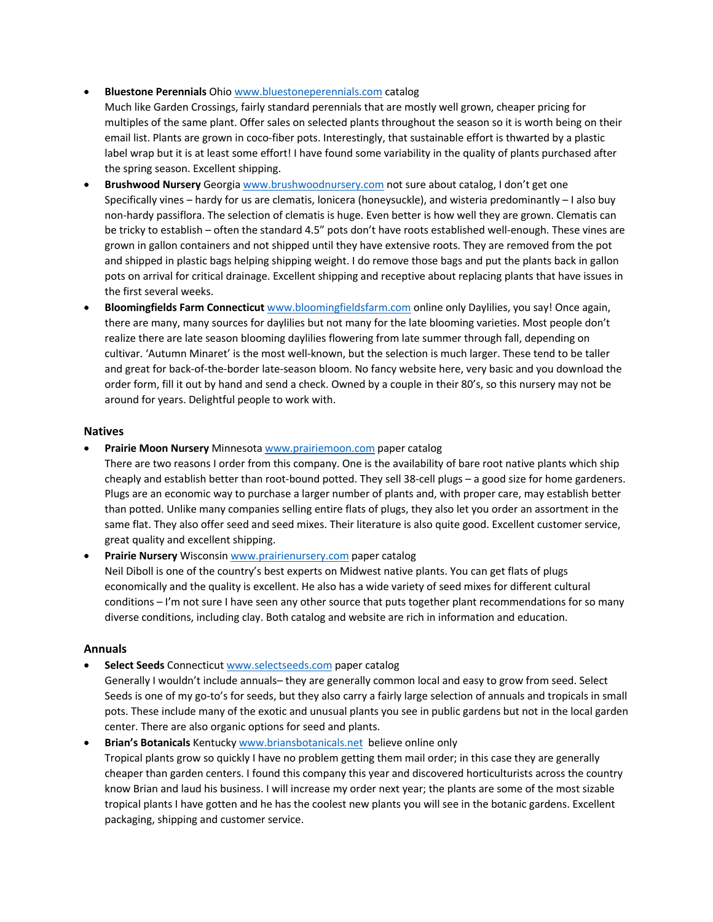#### • **Bluestone Perennials** Ohio www.bluestoneperennials.com catalog

Much like Garden Crossings, fairly standard perennials that are mostly well grown, cheaper pricing for multiples of the same plant. Offer sales on selected plants throughout the season so it is worth being on their email list. Plants are grown in coco-fiber pots. Interestingly, that sustainable effort is thwarted by a plastic label wrap but it is at least some effort! I have found some variability in the quality of plants purchased after the spring season. Excellent shipping.

- **Brushwood Nursery** Georgia www.brushwoodnursery.com not sure about catalog, I don't get one Specifically vines – hardy for us are clematis, lonicera (honeysuckle), and wisteria predominantly – I also buy non-hardy passiflora. The selection of clematis is huge. Even better is how well they are grown. Clematis can be tricky to establish – often the standard 4.5" pots don't have roots established well-enough. These vines are grown in gallon containers and not shipped until they have extensive roots. They are removed from the pot and shipped in plastic bags helping shipping weight. I do remove those bags and put the plants back in gallon pots on arrival for critical drainage. Excellent shipping and receptive about replacing plants that have issues in the first several weeks.
- **Bloomingfields Farm Connecticut** www.bloomingfieldsfarm.com online only Daylilies, you say! Once again, there are many, many sources for daylilies but not many for the late blooming varieties. Most people don't realize there are late season blooming daylilies flowering from late summer through fall, depending on cultivar. 'Autumn Minaret' is the most well-known, but the selection is much larger. These tend to be taller and great for back-of-the-border late-season bloom. No fancy website here, very basic and you download the order form, fill it out by hand and send a check. Owned by a couple in their 80's, so this nursery may not be around for years. Delightful people to work with.

#### **Natives**

• **Prairie Moon Nursery** Minnesota www.prairiemoon.com paper catalog

There are two reasons I order from this company. One is the availability of bare root native plants which ship cheaply and establish better than root-bound potted. They sell 38-cell plugs – a good size for home gardeners. Plugs are an economic way to purchase a larger number of plants and, with proper care, may establish better than potted. Unlike many companies selling entire flats of plugs, they also let you order an assortment in the same flat. They also offer seed and seed mixes. Their literature is also quite good. Excellent customer service, great quality and excellent shipping.

• **Prairie Nursery** Wisconsin www.prairienursery.com paper catalog Neil Diboll is one of the country's best experts on Midwest native plants. You can get flats of plugs economically and the quality is excellent. He also has a wide variety of seed mixes for different cultural conditions – I'm not sure I have seen any other source that puts together plant recommendations for so many diverse conditions, including clay. Both catalog and website are rich in information and education.

#### **Annuals**

• **Select Seeds** Connecticut www.selectseeds.com paper catalog

Generally I wouldn't include annuals– they are generally common local and easy to grow from seed. Select Seeds is one of my go-to's for seeds, but they also carry a fairly large selection of annuals and tropicals in small pots. These include many of the exotic and unusual plants you see in public gardens but not in the local garden center. There are also organic options for seed and plants.

• **Brian's Botanicals** Kentucky www.briansbotanicals.net believe online only Tropical plants grow so quickly I have no problem getting them mail order; in this case they are generally cheaper than garden centers. I found this company this year and discovered horticulturists across the country know Brian and laud his business. I will increase my order next year; the plants are some of the most sizable tropical plants I have gotten and he has the coolest new plants you will see in the botanic gardens. Excellent packaging, shipping and customer service.